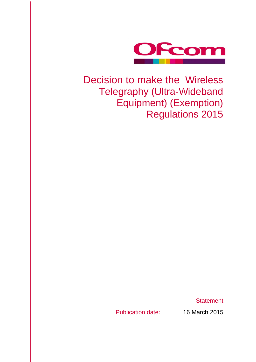

# Decision to make the Wireless Telegraphy (Ultra-Wideband Equipment) (Exemption) Regulations 2015

**Statement** 

Publication date: 16 March 2015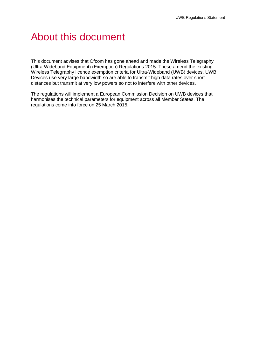# About this document

This document advises that Ofcom has gone ahead and made the Wireless Telegraphy (Ultra-Wideband Equipment) (Exemption) Regulations 2015. These amend the existing Wireless Telegraphy licence exemption criteria for Ultra-Wideband (UWB) devices. UWB Devices use very large bandwidth so are able to transmit high data rates over short distances but transmit at very low powers so not to interfere with other devices.

The regulations will implement a European Commission Decision on UWB devices that harmonises the technical parameters for equipment across all Member States. The regulations come into force on 25 March 2015.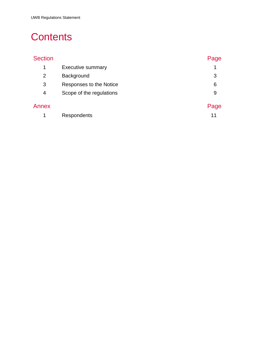# **Contents**

| <b>Section</b> |                          | Page |
|----------------|--------------------------|------|
| 1              | <b>Executive summary</b> | 1    |
| $\overline{2}$ | Background               | 3    |
| 3              | Responses to the Notice  | 6    |
| 4              | Scope of the regulations | 9    |
| Annex          |                          | Page |
| 1              | Respondents              | 11   |
|                |                          |      |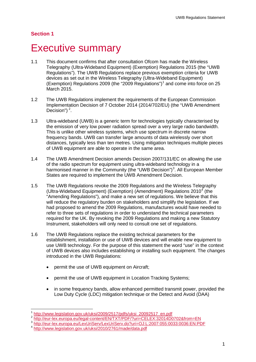# <span id="page-3-0"></span>**Executive summary**

- 1.1 This document confirms that after consultation Ofcom has made the Wireless Telegraphy (Ultra-Wideband Equipment) (Exemption) Regulations 2015 (the "UWB Regulations"). The UWB Regulations replace previous exemption criteria for UWB devices as set out in the Wireless Telegraphy (Ultra-Wideband Equipment) (Exemption) Regulations 2009 (the "2009 Regulations")<sup>[1](#page-3-1)</sup> and come into force on 25 March 2015.
- 1.2 The UWB Regulations implement the requirements of the European Commission Implementation Decision of 7 October 2014 (2014/702/EU) (the "UWB Amendment Decision") $<sup>2</sup>$  $<sup>2</sup>$  $<sup>2</sup>$ .</sup>
- 1.3 Ultra-wideband (UWB) is a generic term for technologies typically characterised by the emission of very low power radiation spread over a very large radio bandwidth. This is unlike other wireless systems, which use spectrum in discrete narrow frequency bands. UWB can transfer large amounts of data wirelessly over short distances, typically less than ten metres. Using mitigation techniques multiple pieces of UWB equipment are able to operate in the same area.
- 1.4 The UWB Amendment Decision amends Decision 2007/131/EC on allowing the use of the radio spectrum for equipment using ultra-wideband technology in a harmonised manner in the Community (the "UWB Decision")<sup>[3](#page-3-3)</sup>. All European Member States are required to implement the UWB Amendment Decision.
- 1.5 The UWB Regulations revoke the 2009 Regulations and the Wireless Telegraphy (Ultra-Wideband Equipment) (Exemption) (Amendment) Regulations  $2010<sup>4</sup>$  $2010<sup>4</sup>$  $2010<sup>4</sup>$  (the "Amending Regulations"), and make a new set of regulations. We believe that this will reduce the regulatory burden on stakeholders and simplify the legislation. If we had proposed to amend the 2009 Regulations, manufactures would have needed to refer to three sets of regulations in order to understand the technical parameters required for the UK. By revoking the 2009 Regulations and making a new Statutory Instrument, stakeholders will only need to consult one set of regulations.
- 1.6 The UWB Regulations replace the existing technical parameters for the establishment, installation or use of UWB devices and will enable new equipment to use UWB technology. For the purpose of this statement the word "use" in the context of UWB devices also includes establishing or installing such equipment. The changes introduced in the UWB Regulations:
	- permit the use of UWB equipment on Aircraft;
	- permit the use of UWB equipment in Location Tracking Systems;
	- in some frequency bands, allow enhanced permitted transmit power, provided the Low Duty Cycle (LDC) mitigation technique or the Detect and Avoid (DAA)

[http://www.legislation.gov.uk/uksi/2009/2517/pdfs/uksi\\_20092517\\_en.pdf](http://www.legislation.gov.uk/uksi/2009/2517/pdfs/uksi_20092517_en.pdf)  $\overline{1}$ 

<span id="page-3-2"></span><span id="page-3-1"></span><http://eur-lex.europa.eu/legal-content/EN/TXT/PDF/?uri=CELEX:32014D0702&from=EN>

<http://eur-lex.europa.eu/LexUriServ/LexUriServ.do?uri=OJ:L:2007:055:0033:0036:EN:PDF>

<span id="page-3-4"></span><span id="page-3-3"></span><http://www.legislation.gov.uk/uksi/2010/2761/made/data.pdf>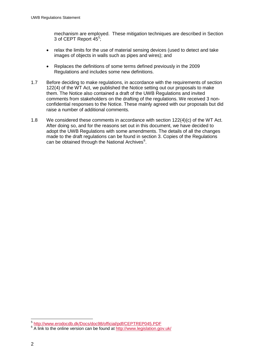mechanism are employed. These mitigation techniques are described in Section 3 of CEPT Report 4[5](#page-4-0)<sup>5</sup>;

- relax the limits for the use of material sensing devices (used to detect and take images of objects in walls such as pipes and wires); and
- Replaces the definitions of some terms defined previously in the 2009 Regulations and includes some new definitions.
- 1.7 Before deciding to make regulations, in accordance with the requirements of section 122(4) of the WT Act, we published the Notice setting out our proposals to make them. The Notice also contained a draft of the UWB Regulations and invited comments from stakeholders on the drafting of the regulations. We received 3 nonconfidential responses to the Notice. These mainly agreed with our proposals but did raise a number of additional comments.
- 1.8 We considered these comments in accordance with section 122(4)(c) of the WT Act. After doing so, and for the reasons set out in this document, we have decided to adopt the UWB Regulations with some amendments. The details of all the changes made to the draft regulations can be found in section 3. Copies of the Regulations can be obtained through the National Archives<sup>[6](#page-4-1)</sup>.

<sup>5</sup> <http://www.erodocdb.dk/Docs/doc98/official/pdf/CEPTREP045.PDF>  $\overline{a}$ 

<span id="page-4-1"></span><span id="page-4-0"></span><sup>&</sup>lt;sup>6</sup> A link to the online version can be found at<http://www.legislation.gov.uk/>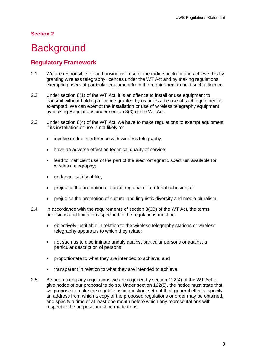# <span id="page-5-0"></span>**Background**

### **Regulatory Framework**

- 2.1 We are responsible for authorising civil use of the radio spectrum and achieve this by granting wireless telegraphy licences under the WT Act and by making regulations exempting users of particular equipment from the requirement to hold such a licence.
- 2.2 Under section 8(1) of the WT Act, it is an offence to install or use equipment to transmit without holding a licence granted by us unless the use of such equipment is exempted. We can exempt the installation or use of wireless telegraphy equipment by making Regulations under section 8(3) of the WT Act.
- 2.3 Under section 8(4) of the WT Act, we have to make regulations to exempt equipment if its installation or use is not likely to:
	- involve undue interference with wireless telegraphy;
	- have an adverse effect on technical quality of service;
	- lead to inefficient use of the part of the electromagnetic spectrum available for wireless telegraphy;
	- endanger safety of life;
	- prejudice the promotion of social, regional or territorial cohesion; or
	- prejudice the promotion of cultural and linguistic diversity and media pluralism.
- 2.4 In accordance with the requirements of section 8(3B) of the WT Act, the terms, provisions and limitations specified in the regulations must be:
	- objectively justifiable in relation to the wireless telegraphy stations or wireless telegraphy apparatus to which they relate;
	- not such as to discriminate unduly against particular persons or against a particular description of persons;
	- proportionate to what they are intended to achieve; and
	- transparent in relation to what they are intended to achieve.
- 2.5 Before making any regulations we are required by section 122(4) of the WT Act to give notice of our proposal to do so. Under section 122(5), the notice must state that we propose to make the regulations in question, set out their general effects, specify an address from which a copy of the proposed regulations or order may be obtained, and specify a time of at least one month before which any representations with respect to the proposal must be made to us.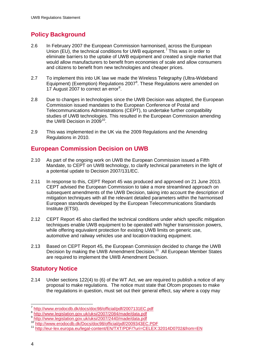# **Policy Background**

- 2.6 In February 2007 the European Commission harmonised, across the European Union (EU), the technical conditions for UWB equipment.<sup>[7](#page-6-0)</sup> This was in order to eliminate barriers to the uptake of UWB equipment and created a single market that would allow manufacturers to benefit from economies of scale and allow consumers and citizens to benefit from new technologies and cheaper prices.
- 2.7 To implement this into UK law we made the Wireless Telegraphy (Ultra-Wideband Equipment) (Exemption) Regulations 2007<sup>[8](#page-6-1)</sup>. These Regulations were amended on 17 August 2007 to correct an error<sup>[9](#page-6-2)</sup>.
- 2.8 Due to changes in technologies since the UWB Decision was adopted, the European Commission issued mandates to the European Conference of Postal and Telecommunications Administrations (CEPT), to undertake further compatibility studies of UWB technologies. This resulted in the European Commission amending the UWB Decision in 2009<sup>10</sup>.
- 2.9 This was implemented in the UK via the 2009 Regulations and the Amending Regulations in 2010.

## **European Commission Decision on UWB**

- 2.10 As part of the ongoing work on UWB the European Commission issued a Fifth Mandate, to CEPT on UWB technology, to clarify technical parameters in the light of a potential update to Decision 2007/131/EC.
- 2.11 In response to this, CEPT Report 45 was produced and approved on 21 June 2013. CEPT advised the European Commission to take a more streamlined approach on subsequent amendments of the UWB Decision, taking into account the description of mitigation techniques with all the relevant detailed parameters within the harmonised European standards developed by the European Telecommunications Standards Institute (ETSI).
- 2.12 CEPT Report 45 also clarified the technical conditions under which specific mitigation techniques enable UWB equipment to be operated with higher transmission powers, while offering equivalent protection for existing UWB limits on generic use, automotive and railway vehicles use and location-tracking equipment.
- 2.13 Based on CEPT Report 45, the European Commission decided to change the UWB Decision by making the UWB Amendment Decision.<sup>[11](#page-6-4)</sup> All European Member States are required to implement the UWB Amendment Decision.

## **Statutory Notice**

2.14 Under sections 122(4) to (6) of the WT Act, we are required to publish a notice of any proposal to make regulations. The notice must state that Ofcom proposes to make the regulations in question, must set out their general effect, say where a copy may

<span id="page-6-0"></span><sup>&</sup>lt;sup>7</sup> <http://www.erodocdb.dk/docs/doc98/official/pdf/2007131EC.pdf><br><sup>8</sup> http://www.legislation.gov.uk/uksi/2007/2084/made/data.pdf  $\overline{a}$ 

<span id="page-6-3"></span><span id="page-6-2"></span><span id="page-6-1"></span><sup>8</sup> http://www.iegislation.gov.uk/uksi/2007/2440/made/data.pdf<br>10 <http://www.legislation.gov.uk/uksi/2007/2440/made/data.pdf><br>10 http://www.erodocdb.dk/Docs/doc98/official/pdf/2009343EC.PDF

<span id="page-6-4"></span><sup>11</sup> <http://eur-lex.europa.eu/legal-content/EN/TXT/PDF/?uri=CELEX:32014D0702&from=EN>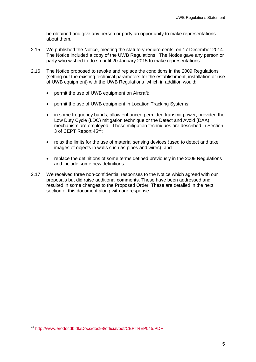be obtained and give any person or party an opportunity to make representations about them.

- 2.15 We published the Notice, meeting the statutory requirements, on 17 December 2014. The Notice included a copy of the UWB Regulations. The Notice gave any person or party who wished to do so until 20 January 2015 to make representations.
- 2.16 The Notice proposed to revoke and replace the conditions in the 2009 Regulations (setting out the existing technical parameters for the establishment, installation or use of UWB equipment) with the UWB Regulations which in addition would:
	- permit the use of UWB equipment on Aircraft;
	- permit the use of UWB equipment in Location Tracking Systems;
	- in some frequency bands, allow enhanced permitted transmit power, provided the Low Duty Cycle (LDC) mitigation technique or the Detect and Avoid (DAA) mechanism are employed. These mitigation techniques are described in Section 3 of CEPT Report  $45^{12}$  $45^{12}$  $45^{12}$ ;
	- relax the limits for the use of material sensing devices (used to detect and take images of objects in walls such as pipes and wires); and
	- replace the definitions of some terms defined previously in the 2009 Regulations and include some new definitions.
- 2.17 We received three non-confidential responses to the Notice which agreed with our proposals but did raise additional comments. These have been addressed and resulted in some changes to the Proposed Order. These are detailed in the next section of this document along with our response

<span id="page-7-0"></span><sup>&</sup>lt;sup>12</sup> <http://www.erodocdb.dk/Docs/doc98/official/pdf/CEPTREP045.PDF>  $\overline{a}$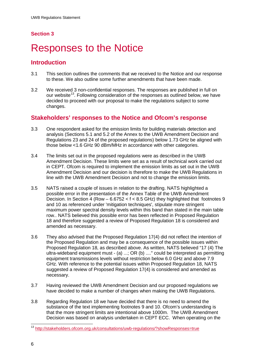# <span id="page-8-0"></span>**Responses to the Notice**

### **Introduction**

- 3.1 This section outlines the comments that we received to the Notice and our response to these. We also outline some further amendments that have been made.
- 3.2 We received 3 non-confidential responses. The responses are published in full on our website<sup>[13](#page-8-1)</sup>. Following consideration of the responses as outlined below, we have decided to proceed with our proposal to make the regulations subject to some changes.

### **Stakeholders' responses to the Notice and Ofcom's response**

- 3.3 One respondent asked for the emission limits for building materials detection and analysis (Sections 5.1 and 5.2 of the Annex to the UWB Amendment Decision and Regulations 23 and 24 of the proposed regulations) below 1.73 GHz be aligned with those below <1.6 GHz 90 dBm/MHz in accordance with other categories.
- 3.4 The limits set out in the proposed regulations were as described in the UWB Amendment Decision. These limits were set as a result of technical work carried out in CEPT. Ofcom is required to implement the emission limits as set out in the UWB Amendment Decision and our decision is therefore to make the UWB Regulations in line with the UWB Amendment Decision and not to change the emission limits.
- 3.5 NATS raised a couple of issues in relation to the drafting. NATS highlighted a possible error in the presentation of the Annex Table of the UWB Amendment Decision. In Section 4 (Row – 6.6752 < f < 8.5 GHz) they highlighted that footnotes 9 and 10 as referenced under 'mitigation techniques', stipulate more stringent maximum power spectral density levels within this band than stated in the main table row.. NATS believed this possible error has been reflected in Proposed Regulation 18 and therefore suggested a review of Proposed Regulation 18 is considered and amended as necessary.
- 3.6 They also advised that the Proposed Regulation 17(4) did not reflect the intention of the Proposed Regulation and may be a consequence of the possible issues within Proposed Regulation 18, as described above. As written, NATS believed "17 (4) The ultra-wideband equipment must - (a) ...; OR (b) ...." could be interpreted as permitting equipment transmissions levels without restriction below 6.0 GHz and above 7.9 GHz. With reference to the potential issues within Proposed Regulation 18, NATS suggested a review of Proposed Regulation 17(4) is considered and amended as necessary.
- 3.7 Having reviewed the UWB Amendment Decision and our proposed regulations we have decided to make a number of changes when making the UWB Regulations.
- 3.8 Regarding Regulation 18 we have decided that there is no need to amend the substance of the text implementing footnotes 9 and 10. Ofcom's understanding is that the more stringent limits are intentional above 1000m. The UWB Amendment Decision was based on analysis undertaken in CEPT ECC. When operating on the

<span id="page-8-1"></span><sup>&</sup>lt;sup>13</sup> <http://stakeholders.ofcom.org.uk/consultations/uwb-regulations/?showResponses=true>  $\overline{a}$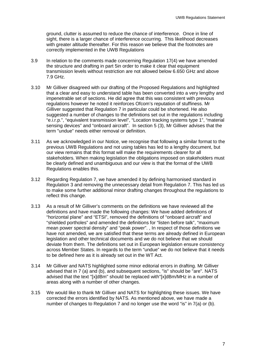ground, clutter is assumed to reduce the chance of interference. Once in line of sight, there is a larger chance of interference occurring. This likelihood decreases with greater altitude thereafter. For this reason we believe that the footnotes are correctly implemented in the UWB Regulations

- 3.9 In relation to the comments made concerning Regulation 17(4) we have amended the structure and drafting in part 5in order to make it clear that equipment transmission levels without restriction are not allowed below 6.650 GHz and above 7.9 GHz.
- 3.10 Mr Gilliver disagreed with our drafting of the Proposed Regulations and highlighted that a clear and easy to understand table has been converted into a very lengthy and impenetrable set of sections. He did agree that this was consistent with previous regulations however he noted it reinforces Ofcom's reputation of stuffiness. Mr Gilliver suggested that Regulation 7 in particular could be shortened. He also suggested a number of changes to the definitions set out in the regulations including "e.i.r.p.", "equivalent transmission level", "Location tracking systems type 1", "material sensing devices" and "onboard aircraft". In section 5 (3), Mr Gilliver advises that the term "undue" needs either removal or definition.
- 3.11 As we acknowledged in our Notice, we recognise that following a similar format to the previous UWB Regulations and not using tables has led to a lengthy document, but our view remains that this format will make the requirements clearer for all stakeholders. When making legislation the obligations imposed on stakeholders must be clearly defined and unambiguous and our view is that the format of the UWB Regulations enables this.
- 3.12 Regarding Regulation 7, we have amended it by defining harmonised standard in Regulation 3 and removing the unnecessary detail from Regulation 7. This has led us to make some further additional minor drafting changes throughout the regulations to reflect this change.
- 3.13 As a result of Mr Gilliver's comments on the definitions we have reviewed all the definitions and have made the following changes: We have added definitions of "horizontal plane" and "ETSI", removed the definitions of "onboard aircraft" and "shielded portholes" and amended the definitions for "listen before talk", "maximum mean power spectral density" and "peak power". , In respect of those definitions we have not amended, we are satisfied that these terms are already defined in European legislation and other technical documents and we do not believe that we should deviate from them. The definitions set out in European legislation ensure consistency across Member States. In regards to the term "undue" we do not believe that it needs to be defined here as it is already set out in the WT Act.
- 3.14 Mr Gilliver and NATS highlighted some minor editorial errors in drafting. Mr Gilliver advised that in 7 (a) and (b), and subsequent sections, "is" should be "are". NATS advised that the text "[x]dBm" should be replaced with"[x]dBm/MHz in a number of areas along with a number of other changes.
- 3.15 We would like to thank Mr Gilliver and NATS for highlighting these issues. We have corrected the errors identified by NATS. As mentioned above, we have made a number of changes to Regulation 7 and no longer use the word "is" in 7(a) or (b).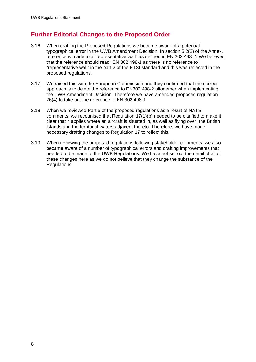## **Further Editorial Changes to the Proposed Order**

- 3.16 When drafting the Proposed Regulations we became aware of a potential typographical error in the UWB Amendment Decision. In section 5.2(2) of the Annex, reference is made to a "representative wall" as defined in EN 302 498-2. We believed that the reference should read "EN 302 498-1 as there is no reference to "representative wall" in the part 2 of the ETSI standard and this was reflected in the proposed regulations.
- 3.17 We raised this with the European Commission and they confirmed that the correct approach is to delete the reference to EN302 498-2 altogether when implementing the UWB Amendment Decision. Therefore we have amended proposed regulation 26(4) to take out the reference to EN 302 498-1.
- 3.18 When we reviewed Part 5 of the proposed regulations as a result of NATS comments, we recognised that Regulation 17(1)(b) needed to be clarified to make it clear that it applies where an aircraft is situated in, as well as flying over, the British Islands and the territorial waters adjacent thereto. Therefore, we have made necessary drafting changes to Regulation 17 to reflect this.
- 3.19 When reviewing the proposed regulations following stakeholder comments, we also became aware of a number of typographical errors and drafting improvements that needed to be made to the UWB Regulations. We have not set out the detail of all of these changes here as we do not believe that they change the substance of the Regulations.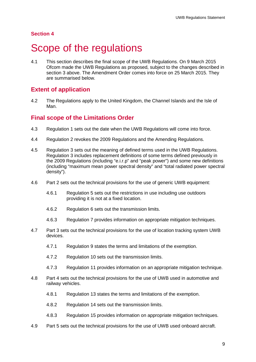# <span id="page-11-0"></span>Scope of the regulations

4.1 This section describes the final scope of the UWB Regulations. On 9 March 2015 Ofcom made the UWB Regulations as proposed, subject to the changes described in section 3 above. The Amendment Order comes into force on 25 March 2015. They are summarised below.

#### **Extent of application**

4.2 The Regulations apply to the United Kingdom, the Channel Islands and the Isle of Man.

#### **Final scope of the Limitations Order**

- 4.3 Regulation 1 sets out the date when the UWB Regulations will come into force.
- 4.4 Regulation 2 revokes the 2009 Regulations and the Amending Regulations.
- 4.5 Regulation 3 sets out the meaning of defined terms used in the UWB Regulations. Regulation 3 includes replacement definitions of some terms defined previously in the 2009 Regulations (including "e.i.r.p" and "peak power") and some new definitions (including "maximum mean power spectral density" and "total radiated power spectral density").
- 4.6 Part 2 sets out the technical provisions for the use of generic UWB equipment:
	- 4.6.1 Regulation 5 sets out the restrictions in use including use outdoors providing it is not at a fixed location.
	- 4.6.2 Regulation 6 sets out the transmission limits.
	- 4.6.3 Regulation 7 provides information on appropriate mitigation techniques.
- 4.7 Part 3 sets out the technical provisions for the use of location tracking system UWB devices.
	- 4.7.1 Regulation 9 states the terms and limitations of the exemption.
	- 4.7.2 Regulation 10 sets out the transmission limits.
	- 4.7.3 Regulation 11 provides information on an appropriate mitigation technique.
- 4.8 Part 4 sets out the technical provisions for the use of UWB used in automotive and railway vehicles.
	- 4.8.1 Regulation 13 states the terms and limitations of the exemption.
	- 4.8.2 Regulation 14 sets out the transmission limits.
	- 4.8.3 Regulation 15 provides information on appropriate mitigation techniques.
- 4.9 Part 5 sets out the technical provisions for the use of UWB used onboard aircraft.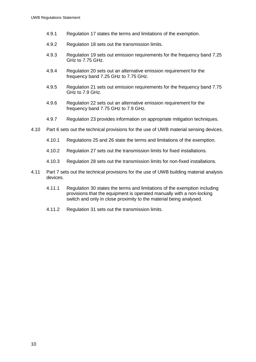- 4.9.1 Regulation 17 states the terms and limitations of the exemption.
- 4.9.2 Regulation 18 sets out the transmission limits.
- 4.9.3 Regulation 19 sets out emission requirements for the frequency band 7.25 GHz to 7.75 GHz.
- 4.9.4 Regulation 20 sets out an alternative emission requirement for the frequency band 7.25 GHz to 7.75 GHz.
- 4.9.5 Regulation 21 sets out emission requirements for the frequency band 7.75 GHz to 7.9 GHz.
- 4.9.6 Regulation 22 sets out an alternative emission requirement for the frequency band 7.75 GHz to 7.9 GHz.
- 4.9.7 Regulation 23 provides information on appropriate mitigation techniques.
- 4.10 Part 6 sets out the technical provisions for the use of UWB material sensing devices.
	- 4.10.1 Regulations 25 and 26 state the terms and limitations of the exemption.
	- 4.10.2 Regulation 27 sets out the transmission limits for fixed installations.
	- 4.10.3 Regulation 28 sets out the transmission limits for non-fixed installations.
- 4.11 Part 7 sets out the technical provisions for the use of UWB building material analysis devices.
	- 4.11.1 Regulation 30 states the terms and limitations of the exemption including provisions that the equipment is operated manually with a non-locking switch and only in close proximity to the material being analysed.
	- 4.11.2 Regulation 31 sets out the transmission limits.